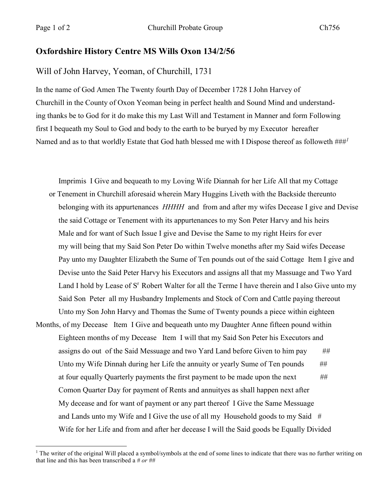## **Oxfordshire History Centre MS Wills Oxon 134/2/56**

## Will of John Harvey, Yeoman, of Churchill, 1731

In the name of God Amen The Twenty fourth Day of December 1728 I John Harvey of Churchill in the County of Oxon Yeoman being in perfect health and Sound Mind and understanding thanks be to God for it do make this my Last Will and Testament in Manner and form Following first I bequeath my Soul to God and body to the earth to be buryed by my Executor hereafter Named and as to that worldly Estate that God hath blessed me with I Dispose thereof as followeth ###*<sup>1</sup>*

Imprimis I Give and bequeath to my Loving Wife Diannah for her Life All that my Cottage or Tenement in Churchill aforesaid wherein Mary Huggins Liveth with the Backside thereunto belonging with its appurtenances *HHHH* and from and after my wifes Decease I give and Devise the said Cottage or Tenement with its appurtenances to my Son Peter Harvy and his heirs Male and for want of Such Issue I give and Devise the Same to my right Heirs for ever my will being that my Said Son Peter Do within Twelve moneths after my Said wifes Decease Pay unto my Daughter Elizabeth the Sume of Ten pounds out of the said Cottage Item I give and Devise unto the Said Peter Harvy his Executors and assigns all that my Massuage and Two Yard Land I hold by Lease of S<sup>r</sup> Robert Walter for all the Terme I have therein and I also Give unto my Said Son Peter all my Husbandry Implements and Stock of Corn and Cattle paying thereout Unto my Son John Harvy and Thomas the Sume of Twenty pounds a piece within eighteen Months, of my Decease Item I Give and bequeath unto my Daughter Anne fifteen pound within Eighteen months of my Decease Item I will that my Said Son Peter his Executors and assigns do out of the Said Messuage and two Yard Land before Given to him pay *##* Unto my Wife Dinnah during her Life the annuity or yearly Sume of Ten pounds *##* at four equally Quarterly payments the first payment to be made upon the next  $#$ Comon Quarter Day for payment of Rents and annuityes as shall happen next after My decease and for want of payment or any part thereof I Give the Same Messuage and Lands unto my Wife and I Give the use of all my Household goods to my Said *#* Wife for her Life and from and after her decease I will the Said goods be Equally Divided

<sup>&</sup>lt;sup>1</sup> The writer of the original Will placed a symbol/symbols at the end of some lines to indicate that there was no further writing on that line and this has been transcribed a *# or ##*